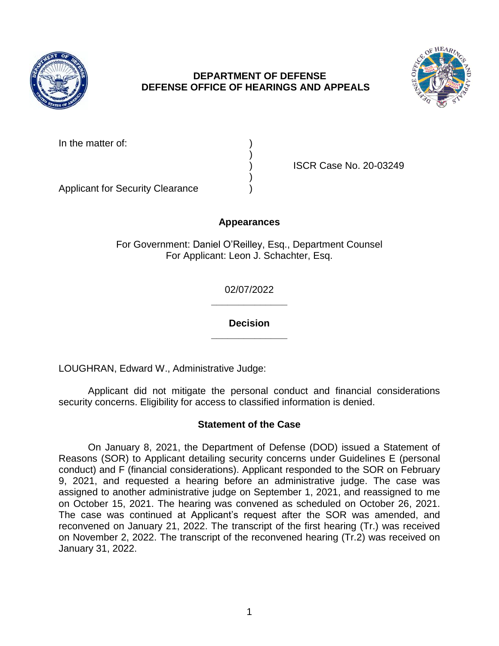

## **DEPARTMENT OF DEFENSE DEFENSE OFFICE OF HEARINGS AND APPEALS**



In the matter of:

) ISCR Case No. 20-03249

Applicant for Security Clearance )

## **Appearances**

)

)

For Government: Daniel O'Reilley, Esq., Department Counsel For Applicant: Leon J. Schachter, Esq.

> **\_\_\_\_\_\_\_\_\_\_\_\_\_\_**  02/07/2022

> **\_\_\_\_\_\_\_\_\_\_\_\_\_\_ Decision**

LOUGHRAN, Edward W., Administrative Judge:

 Applicant did not mitigate the personal conduct and financial considerations security concerns. Eligibility for access to classified information is denied.

## **Statement of the Case**

 Reasons (SOR) to Applicant detailing security concerns under Guidelines E (personal conduct) and F (financial considerations). Applicant responded to the SOR on February 9, 2021, and requested a hearing before an administrative judge. The case was assigned to another administrative judge on September 1, 2021, and reassigned to me on October 15, 2021. The hearing was convened as scheduled on October 26, 2021. The case was continued at Applicant's request after the SOR was amended, and reconvened on January 21, 2022. The transcript of the first hearing (Tr.) was received on November 2, 2022. The transcript of the reconvened hearing (Tr.2) was received on On January 8, 2021, the Department of Defense (DOD) issued a Statement of January 31, 2022.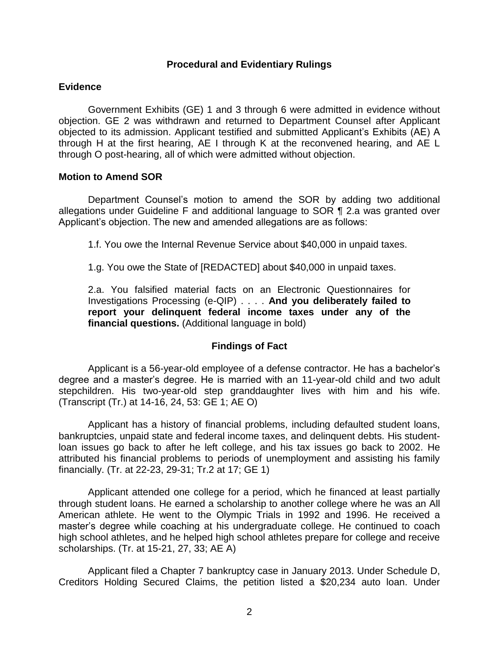### **Procedural and Evidentiary Rulings**

### **Evidence**

 Government Exhibits (GE) 1 and 3 through 6 were admitted in evidence without objection. GE 2 was withdrawn and returned to Department Counsel after Applicant objected to its admission. Applicant testified and submitted Applicant's Exhibits (AE) A through H at the first hearing, AE I through K at the reconvened hearing, and AE L through O post-hearing, all of which were admitted without objection.

### **Motion to Amend SOR**

 Department Counsel's motion to amend the SOR by adding two additional allegations under Guideline F and additional language to SOR ¶ 2.a was granted over Applicant's objection. The new and amended allegations are as follows:

1.f. You owe the Internal Revenue Service about \$40,000 in unpaid taxes.

1.g. You owe the State of [REDACTED] about \$40,000 in unpaid taxes.

 2.a. You falsified material facts on an Electronic Questionnaires for  Investigations Processing (e-QIP) . . . . **And you deliberately failed to report your delinquent federal income taxes under any of the financial questions.** (Additional language in bold)

### **Findings of Fact**

 Applicant is a 56-year-old employee of a defense contractor. He has a bachelor's degree and a master's degree. He is married with an 11-year-old child and two adult stepchildren. His two-year-old step granddaughter lives with him and his wife. (Transcript (Tr.) at 14-16, 24, 53: GE 1; AE O)

 Applicant has a history of financial problems, including defaulted student loans, bankruptcies, unpaid state and federal income taxes, and delinquent debts. His student- loan issues go back to after he left college, and his tax issues go back to 2002. He attributed his financial problems to periods of unemployment and assisting his family financially. (Tr. at 22-23, 29-31; Tr.2 at 17; GE 1)

 Applicant attended one college for a period, which he financed at least partially through student loans. He earned a scholarship to another college where he was an All American athlete. He went to the Olympic Trials in 1992 and 1996. He received a master's degree while coaching at his undergraduate college. He continued to coach high school athletes, and he helped high school athletes prepare for college and receive scholarships. (Tr. at 15-21, 27, 33; AE A)

 Applicant filed a Chapter 7 bankruptcy case in January 2013. Under Schedule D, Creditors Holding Secured Claims, the petition listed a \$20,234 auto loan. Under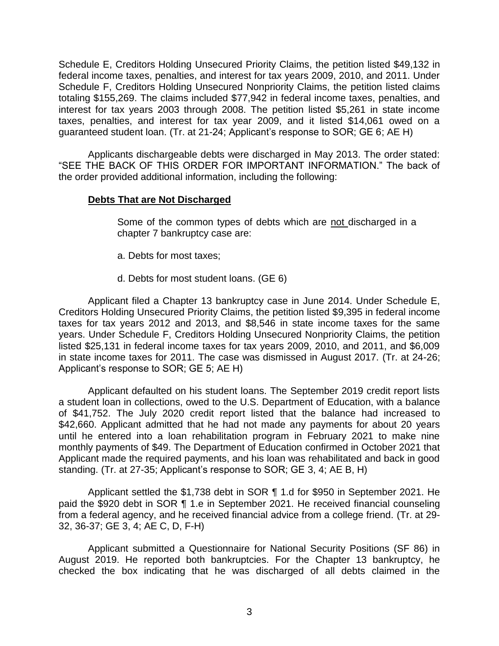Schedule E, Creditors Holding Unsecured Priority Claims, the petition listed \$49,132 in federal income taxes, penalties, and interest for tax years 2009, 2010, and 2011. Under Schedule F, Creditors Holding Unsecured Nonpriority Claims, the petition listed claims interest for tax years 2003 through 2008. The petition listed \$5,261 in state income taxes, penalties, and interest for tax year 2009, and it listed \$14,061 owed on a totaling \$155,269. The claims included \$77,942 in federal income taxes, penalties, and guaranteed student loan. (Tr. at 21-24; Applicant's response to SOR; GE 6; AE H)

Applicants dischargeable debts were discharged in May 2013. The order stated: "SEE THE BACK OF THIS ORDER FOR IMPORTANT INFORMATION." The back of the order provided additional information, including the following:

### **Debts That are Not Discharged**

Some of the common types of debts which are not discharged in a chapter 7 bankruptcy case are:

- a. Debts for most taxes;
- d. Debts for most student loans. (GE 6)

 Applicant filed a Chapter 13 bankruptcy case in June 2014. Under Schedule E, Creditors Holding Unsecured Priority Claims, the petition listed \$9,395 in federal income taxes for tax years 2012 and 2013, and \$8,546 in state income taxes for the same years. Under Schedule F, Creditors Holding Unsecured Nonpriority Claims, the petition listed \$25,131 in federal income taxes for tax years 2009, 2010, and 2011, and \$6,009 in state income taxes for 2011. The case was dismissed in August 2017. (Tr. at 24-26; Applicant's response to SOR; GE 5; AE H)

 Applicant defaulted on his student loans. The September 2019 credit report lists a student loan in collections, owed to the U.S. Department of Education, with a balance of \$41,752. The July 2020 credit report listed that the balance had increased to \$42,660. Applicant admitted that he had not made any payments for about 20 years until he entered into a loan rehabilitation program in February 2021 to make nine monthly payments of \$49. The Department of Education confirmed in October 2021 that Applicant made the required payments, and his loan was rehabilitated and back in good standing. (Tr. at 27-35; Applicant's response to SOR; GE 3, 4; AE B, H)

Applicant settled the \$1,738 debt in SOR ¶ 1.d for \$950 in September 2021. He paid the \$920 debt in SOR ¶ 1.e in September 2021. He received financial counseling from a federal agency, and he received financial advice from a college friend. (Tr. at 29- 32, 36-37; GE 3, 4; AE C, D, F-H)

 Applicant submitted a Questionnaire for National Security Positions (SF 86) in August 2019. He reported both bankruptcies. For the Chapter 13 bankruptcy, he checked the box indicating that he was discharged of all debts claimed in the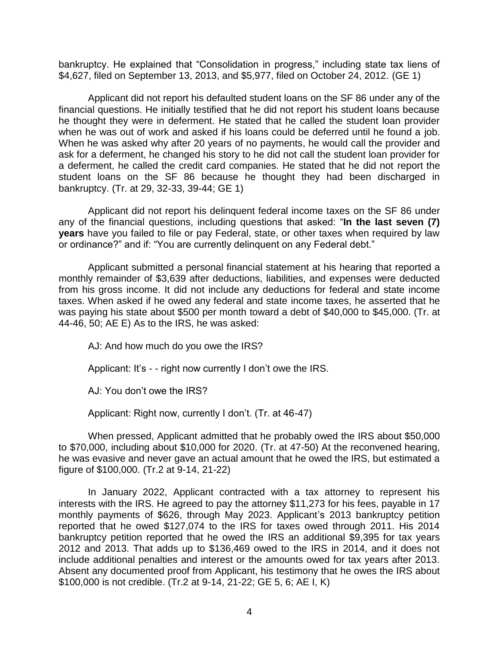bankruptcy. He explained that "Consolidation in progress," including state tax liens of \$4,627, filed on September 13, 2013, and \$5,977, filed on October 24, 2012. (GE 1)

 financial questions. He initially testified that he did not report his student loans because he thought they were in deferment. He stated that he called the student loan provider when he was out of work and asked if his loans could be deferred until he found a job. When he was asked why after 20 years of no payments, he would call the provider and ask for a deferment, he changed his story to he did not call the student loan provider for a deferment, he called the credit card companies. He stated that he did not report the student loans on the SF 86 because he thought they had been discharged in Applicant did not report his defaulted student loans on the SF 86 under any of the bankruptcy. (Tr. at 29, 32-33, 39-44; GE 1)

 Applicant did not report his delinquent federal income taxes on the SF 86 under any of the financial questions, including questions that asked: "**In the last seven (7) years** have you failed to file or pay Federal, state, or other taxes when required by law or ordinance?" and if: "You are currently delinquent on any Federal debt."

 Applicant submitted a personal financial statement at his hearing that reported a monthly remainder of \$3,639 after deductions, liabilities, and expenses were deducted from his gross income. It did not include any deductions for federal and state income taxes. When asked if he owed any federal and state income taxes, he asserted that he was paying his state about \$500 per month toward a debt of \$40,000 to \$45,000. (Tr. at 44-46, 50; AE E) As to the IRS, he was asked:

AJ: And how much do you owe the IRS?

Applicant: It's - - right now currently I don't owe the IRS.

AJ: You don't owe the IRS?

Applicant: Right now, currently I don't. (Tr. at 46-47)

 When pressed, Applicant admitted that he probably owed the IRS about \$50,000 to \$70,000, including about \$10,000 for 2020. (Tr. at 47-50) At the reconvened hearing, he was evasive and never gave an actual amount that he owed the IRS, but estimated a figure of \$100,000. (Tr.2 at 9-14, 21-22)

 In January 2022, Applicant contracted with a tax attorney to represent his interests with the IRS. He agreed to pay the attorney \$11,273 for his fees, payable in 17 monthly payments of \$626, through May 2023. Applicant's 2013 bankruptcy petition reported that he owed \$127,074 to the IRS for taxes owed through 2011. His 2014 bankruptcy petition reported that he owed the IRS an additional \$9,395 for tax years 2012 and 2013. That adds up to \$136,469 owed to the IRS in 2014, and it does not include additional penalties and interest or the amounts owed for tax years after 2013. Absent any documented proof from Applicant, his testimony that he owes the IRS about \$100,000 is not credible. (Tr.2 at 9-14, 21-22; GE 5, 6; AE I, K)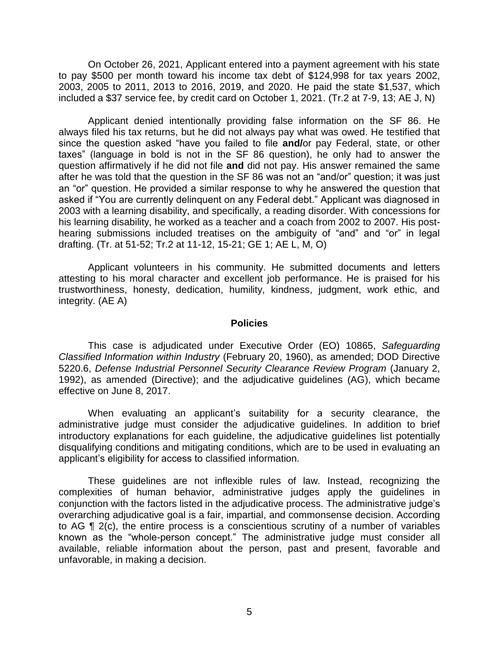On October 26, 2021, Applicant entered into a payment agreement with his state to pay \$500 per month toward his income tax debt of \$124,998 for tax years 2002, 2003, 2005 to 2011, 2013 to 2016, 2019, and 2020. He paid the state \$1,537, which included a \$37 service fee, by credit card on October 1, 2021. (Tr.2 at 7-9, 13; AE J, N)

 Applicant denied intentionally providing false information on the SF 86. He always filed his tax returns, but he did not always pay what was owed. He testified that since the question asked "have you failed to file **and/**or pay Federal, state, or other taxes" (language in bold is not in the SF 86 question), he only had to answer the question affirmatively if he did not file **and** did not pay. His answer remained the same after he was told that the question in the SF 86 was not an "and/or" question; it was just an "or" question. He provided a similar response to why he answered the question that asked if "You are currently delinquent on any Federal debt." Applicant was diagnosed in 2003 with a learning disability, and specifically, a reading disorder. With concessions for his learning disability, he worked as a teacher and a coach from 2002 to 2007. His post- hearing submissions included treatises on the ambiguity of "and" and "or" in legal drafting. (Tr. at 51-52; Tr.2 at 11-12, 15-21; GE 1; AE L, M, O)

 Applicant volunteers in his community. He submitted documents and letters attesting to his moral character and excellent job performance. He is praised for his trustworthiness, honesty, dedication, humility, kindness, judgment, work ethic, and integrity. (AE A)

#### **Policies**

 *Classified Information within Industry* (February 20, 1960), as amended; DOD Directive 5220.6, *Defense Industrial Personnel Security Clearance Review Program* (January 2, 1992), as amended (Directive); and the adjudicative guidelines (AG), which became This case is adjudicated under Executive Order (EO) 10865, *Safeguarding*  effective on June 8, 2017.

 When evaluating an applicant's suitability for a security clearance, the administrative judge must consider the adjudicative guidelines. In addition to brief introductory explanations for each guideline, the adjudicative guidelines list potentially disqualifying conditions and mitigating conditions, which are to be used in evaluating an applicant's eligibility for access to classified information.

 These guidelines are not inflexible rules of law. Instead, recognizing the complexities of human behavior, administrative judges apply the guidelines in conjunction with the factors listed in the adjudicative process. The administrative judge's overarching adjudicative goal is a fair, impartial, and commonsense decision. According to AG ¶ 2(c), the entire process is a conscientious scrutiny of a number of variables known as the "whole-person concept." The administrative judge must consider all available, reliable information about the person, past and present, favorable and unfavorable, in making a decision.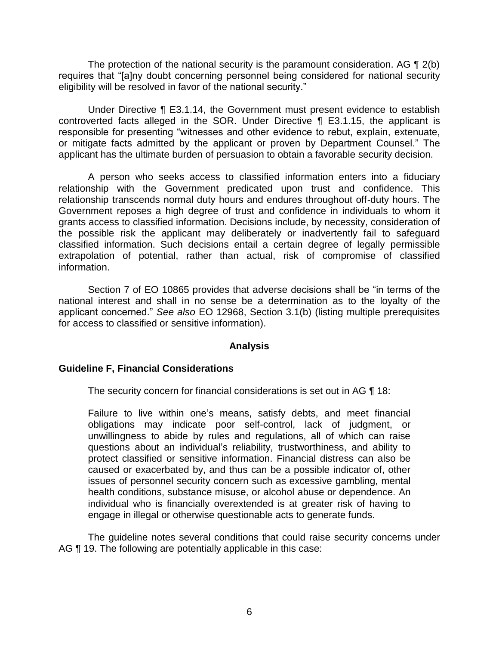The protection of the national security is the paramount consideration. AG  $\P$  2(b) requires that "[a]ny doubt concerning personnel being considered for national security eligibility will be resolved in favor of the national security."

 Under Directive ¶ E3.1.14, the Government must present evidence to establish controverted facts alleged in the SOR. Under Directive ¶ E3.1.15, the applicant is responsible for presenting "witnesses and other evidence to rebut, explain, extenuate, or mitigate facts admitted by the applicant or proven by Department Counsel." The applicant has the ultimate burden of persuasion to obtain a favorable security decision.

 A person who seeks access to classified information enters into a fiduciary relationship with the Government predicated upon trust and confidence. This relationship transcends normal duty hours and endures throughout off-duty hours. The Government reposes a high degree of trust and confidence in individuals to whom it grants access to classified information. Decisions include, by necessity, consideration of the possible risk the applicant may deliberately or inadvertently fail to safeguard classified information. Such decisions entail a certain degree of legally permissible extrapolation of potential, rather than actual, risk of compromise of classified information.

 Section 7 of EO 10865 provides that adverse decisions shall be "in terms of the national interest and shall in no sense be a determination as to the loyalty of the applicant concerned." *See also* EO 12968, Section 3.1(b) (listing multiple prerequisites for access to classified or sensitive information).

### **Analysis**

## **Guideline F, Financial Considerations**

The security concern for financial considerations is set out in AG ¶ 18:

 Failure to live within one's means, satisfy debts, and meet financial obligations may indicate poor self-control, lack of judgment, or unwillingness to abide by rules and regulations, all of which can raise questions about an individual's reliability, trustworthiness, and ability to protect classified or sensitive information. Financial distress can also be caused or exacerbated by, and thus can be a possible indicator of, other issues of personnel security concern such as excessive gambling, mental individual who is financially overextended is at greater risk of having to health conditions, substance misuse, or alcohol abuse or dependence. An engage in illegal or otherwise questionable acts to generate funds.

 The guideline notes several conditions that could raise security concerns under AG ¶ 19. The following are potentially applicable in this case: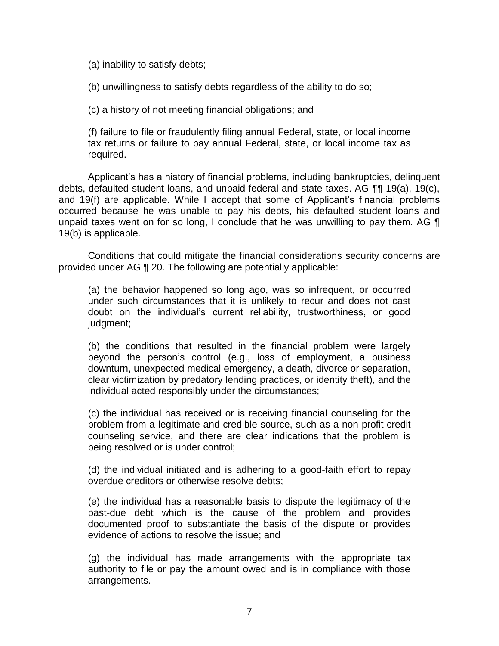(a) inability to satisfy debts;

(b) unwillingness to satisfy debts regardless of the ability to do so;

(c) a history of not meeting financial obligations; and

 (f) failure to file or fraudulently filing annual Federal, state, or local income tax returns or failure to pay annual Federal, state, or local income tax as required.

 Applicant's has a history of financial problems, including bankruptcies, delinquent debts, defaulted student loans, and unpaid federal and state taxes. AG  $\P\P$  19(a), 19(c), and 19(f) are applicable. While I accept that some of Applicant's financial problems occurred because he was unable to pay his debts, his defaulted student loans and unpaid taxes went on for so long, I conclude that he was unwilling to pay them. AG  $\P$ 19(b) is applicable.

 provided under AG ¶ 20. The following are potentially applicable: Conditions that could mitigate the financial considerations security concerns are

(a) the behavior happened so long ago, was so infrequent, or occurred under such circumstances that it is unlikely to recur and does not cast doubt on the individual's current reliability, trustworthiness, or good judgment;

 (b) the conditions that resulted in the financial problem were largely beyond the person's control (e.g., loss of employment, a business clear victimization by predatory lending practices, or identity theft), and the downturn, unexpected medical emergency, a death, divorce or separation, individual acted responsibly under the circumstances;

 (c) the individual has received or is receiving financial counseling for the problem from a legitimate and credible source, such as a non-profit credit counseling service, and there are clear indications that the problem is being resolved or is under control;

 (d) the individual initiated and is adhering to a good-faith effort to repay overdue creditors or otherwise resolve debts;

 (e) the individual has a reasonable basis to dispute the legitimacy of the past-due debt which is the cause of the problem and provides documented proof to substantiate the basis of the dispute or provides evidence of actions to resolve the issue; and

 (g) the individual has made arrangements with the appropriate tax authority to file or pay the amount owed and is in compliance with those arrangements.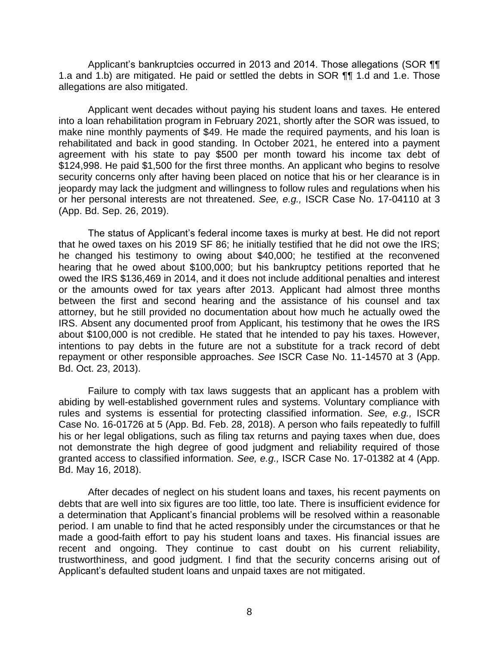Applicant's bankruptcies occurred in 2013 and 2014. Those allegations (SOR ¶¶ 1.a and 1.b) are mitigated. He paid or settled the debts in SOR ¶¶ 1.d and 1.e. Those allegations are also mitigated.

 into a loan rehabilitation program in February 2021, shortly after the SOR was issued, to make nine monthly payments of \$49. He made the required payments, and his loan is rehabilitated and back in good standing. In October 2021, he entered into a payment agreement with his state to pay \$500 per month toward his income tax debt of \$124,998. He paid \$1,500 for the first three months. An applicant who begins to resolve security concerns only after having been placed on notice that his or her clearance is in jeopardy may lack the judgment and willingness to follow rules and regulations when his or her personal interests are not threatened. *See, e.g.,* ISCR Case No. 17-04110 at 3 Applicant went decades without paying his student loans and taxes. He entered (App. Bd. Sep. 26, 2019).

 The status of Applicant's federal income taxes is murky at best. He did not report that he owed taxes on his 2019 SF 86; he initially testified that he did not owe the IRS; he changed his testimony to owing about \$40,000; he testified at the reconvened hearing that he owed about \$100,000; but his bankruptcy petitions reported that he owed the IRS \$136,469 in 2014, and it does not include additional penalties and interest or the amounts owed for tax years after 2013. Applicant had almost three months between the first and second hearing and the assistance of his counsel and tax attorney, but he still provided no documentation about how much he actually owed the IRS. Absent any documented proof from Applicant, his testimony that he owes the IRS about \$100,000 is not credible. He stated that he intended to pay his taxes. However, intentions to pay debts in the future are not a substitute for a track record of debt repayment or other responsible approaches. *See* ISCR Case No. 11-14570 at 3 (App. Bd. Oct. 23, 2013).

 Failure to comply with tax laws suggests that an applicant has a problem with abiding by well-established government rules and systems. Voluntary compliance with rules and systems is essential for protecting classified information. *See, e.g.,* ISCR Case No. 16-01726 at 5 (App. Bd. Feb. 28, 2018). A person who fails repeatedly to fulfill his or her legal obligations, such as filing tax returns and paying taxes when due, does not demonstrate the high degree of good judgment and reliability required of those granted access to classified information. *See, e.g.,* ISCR Case No. 17-01382 at 4 (App. Bd. May 16, 2018).

 After decades of neglect on his student loans and taxes, his recent payments on debts that are well into six figures are too little, too late. There is insufficient evidence for a determination that Applicant's financial problems will be resolved within a reasonable period. I am unable to find that he acted responsibly under the circumstances or that he made a good-faith effort to pay his student loans and taxes. His financial issues are recent and ongoing. They continue to cast doubt on his current reliability, trustworthiness, and good judgment. I find that the security concerns arising out of Applicant's defaulted student loans and unpaid taxes are not mitigated.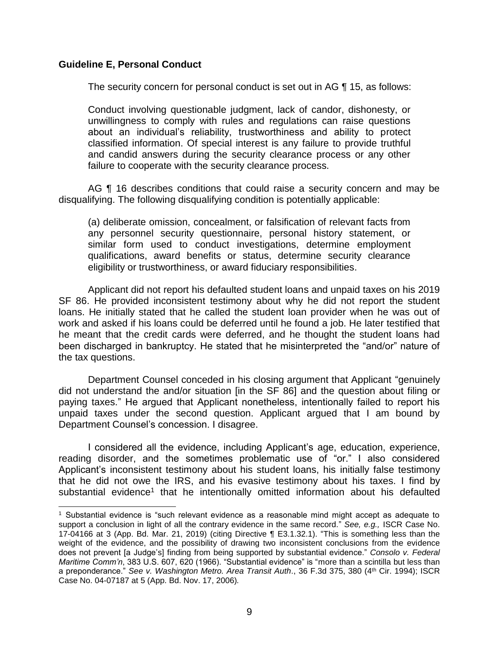### **Guideline E, Personal Conduct**

 $\overline{\phantom{a}}$ 

The security concern for personal conduct is set out in AG ¶ 15, as follows:

 Conduct involving questionable judgment, lack of candor, dishonesty, or unwillingness to comply with rules and regulations can raise questions about an individual's reliability, trustworthiness and ability to protect classified information. Of special interest is any failure to provide truthful and candid answers during the security clearance process or any other failure to cooperate with the security clearance process.

AG ¶ 16 describes conditions that could raise a security concern and may be disqualifying. The following disqualifying condition is potentially applicable:

 any personnel security questionnaire, personal history statement, or similar form used to conduct investigations, determine employment qualifications, award benefits or status, determine security clearance (a) deliberate omission, concealment, or falsification of relevant facts from eligibility or trustworthiness, or award fiduciary responsibilities.

 Applicant did not report his defaulted student loans and unpaid taxes on his 2019 SF 86. He provided inconsistent testimony about why he did not report the student loans. He initially stated that he called the student loan provider when he was out of work and asked if his loans could be deferred until he found a job. He later testified that he meant that the credit cards were deferred, and he thought the student loans had been discharged in bankruptcy. He stated that he misinterpreted the "and/or" nature of the tax questions.

 did not understand the and/or situation [in the SF 86] and the question about filing or paying taxes." He argued that Applicant nonetheless, intentionally failed to report his unpaid taxes under the second question. Applicant argued that I am bound by Department Counsel conceded in his closing argument that Applicant "genuinely Department Counsel's concession. I disagree.

 I considered all the evidence, including Applicant's age, education, experience, reading disorder, and the sometimes problematic use of "or." I also considered that he did not owe the IRS, and his evasive testimony about his taxes. I find by Applicant's inconsistent testimony about his student loans, his initially false testimony substantial evidence<sup>1</sup> that he intentionally omitted information about his defaulted

<sup>1</sup> Substantial evidence is "such relevant evidence as a reasonable mind might accept as adequate to support a conclusion in light of all the contrary evidence in the same record." *See, e.g.,* ISCR Case No. 17-04166 at 3 (App. Bd. Mar. 21, 2019) (citing Directive ¶ E3.1.32.1). "This is something less than the weight of the evidence, and the possibility of drawing two inconsistent conclusions from the evidence does not prevent [a Judge's] finding from being supported by substantial evidence." *Consolo v. Federal Maritime Comm'n*, 383 U.S. 607, 620 (1966). "Substantial evidence" is "more than a scintilla but less than a preponderance." *See v. Washington Metro. Area Transit Auth*., 36 F.3d 375, 380 (4th Cir. 1994); ISCR Case No. 04-07187 at 5 (App. Bd. Nov. 17, 2006)*.*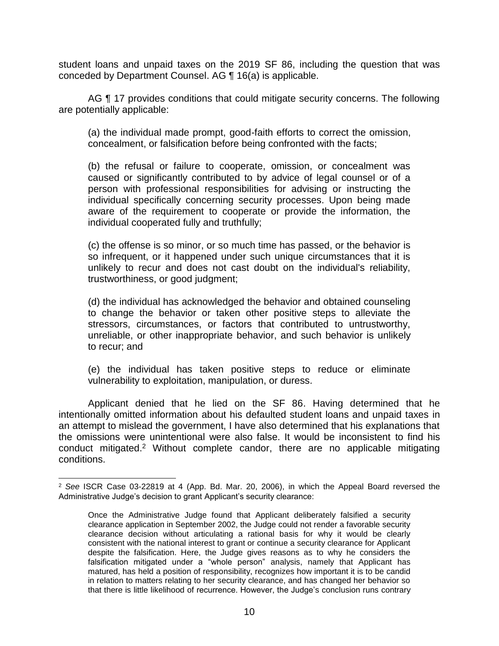student loans and unpaid taxes on the 2019 SF 86, including the question that was conceded by Department Counsel. AG ¶ 16(a) is applicable.

AG ¶ 17 provides conditions that could mitigate security concerns. The following are potentially applicable:

 (a) the individual made prompt, good-faith efforts to correct the omission, concealment, or falsification before being confronted with the facts;

 (b) the refusal or failure to cooperate, omission, or concealment was caused or significantly contributed to by advice of legal counsel or of a person with professional responsibilities for advising or instructing the individual specifically concerning security processes. Upon being made aware of the requirement to cooperate or provide the information, the individual cooperated fully and truthfully;

 (c) the offense is so minor, or so much time has passed, or the behavior is so infrequent, or it happened under such unique circumstances that it is unlikely to recur and does not cast doubt on the individual's reliability, trustworthiness, or good judgment;

 (d) the individual has acknowledged the behavior and obtained counseling to change the behavior or taken other positive steps to alleviate the stressors, circumstances, or factors that contributed to untrustworthy, unreliable, or other inappropriate behavior, and such behavior is unlikely to recur; and

 (e) the individual has taken positive steps to reduce or eliminate vulnerability to exploitation, manipulation, or duress.

 Applicant denied that he lied on the SF 86. Having determined that he intentionally omitted information about his defaulted student loans and unpaid taxes in an attempt to mislead the government, I have also determined that his explanations that the omissions were unintentional were also false. It would be inconsistent to find his conduct mitigated.2 Without complete candor, there are no applicable mitigating conditions.

l

<sup>2</sup>*See* ISCR Case 03-22819 at 4 (App. Bd. Mar. 20, 2006), in which the Appeal Board reversed the Administrative Judge's decision to grant Applicant's security clearance:

 Once the Administrative Judge found that Applicant deliberately falsified a security clearance application in September 2002, the Judge could not render a favorable security clearance decision without articulating a rational basis for why it would be clearly consistent with the national interest to grant or continue a security clearance for Applicant despite the falsification. Here, the Judge gives reasons as to why he considers the falsification mitigated under a "whole person" analysis, namely that Applicant has matured, has held a position of responsibility, recognizes how important it is to be candid in relation to matters relating to her security clearance, and has changed her behavior so that there is little likelihood of recurrence. However, the Judge's conclusion runs contrary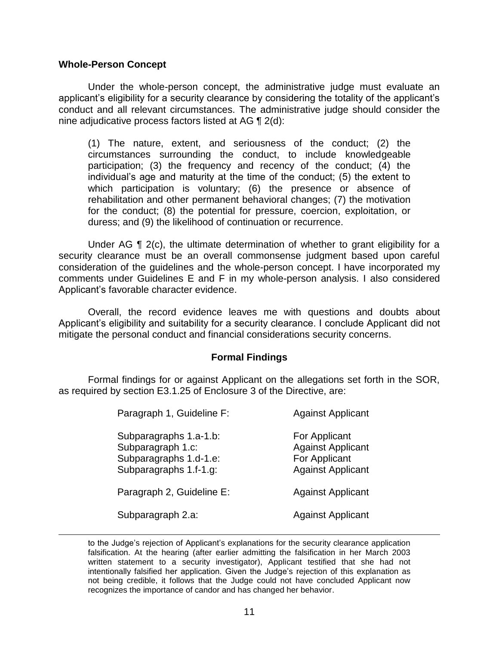### **Whole-Person Concept**

 $\overline{\phantom{a}}$ 

Under the whole-person concept, the administrative judge must evaluate an applicant's eligibility for a security clearance by considering the totality of the applicant's conduct and all relevant circumstances. The administrative judge should consider the nine adjudicative process factors listed at AG ¶ 2(d):

(1) The nature, extent, and seriousness of the conduct; (2) the circumstances surrounding the conduct, to include knowledgeable participation; (3) the frequency and recency of the conduct; (4) the individual's age and maturity at the time of the conduct; (5) the extent to which participation is voluntary; (6) the presence or absence of rehabilitation and other permanent behavioral changes; (7) the motivation for the conduct; (8) the potential for pressure, coercion, exploitation, or duress; and (9) the likelihood of continuation or recurrence.

Under AG  $\P$  2(c), the ultimate determination of whether to grant eligibility for a security clearance must be an overall commonsense judgment based upon careful consideration of the guidelines and the whole-person concept. I have incorporated my comments under Guidelines E and F in my whole-person analysis. I also considered Applicant's favorable character evidence.

 Overall, the record evidence leaves me with questions and doubts about Applicant's eligibility and suitability for a security clearance. I conclude Applicant did not mitigate the personal conduct and financial considerations security concerns.

## **Formal Findings**

 Formal findings for or against Applicant on the allegations set forth in the SOR, as required by section E3.1.25 of Enclosure 3 of the Directive, are:

| Paragraph 1, Guideline F:                                                                       | <b>Against Applicant</b>                                                               |
|-------------------------------------------------------------------------------------------------|----------------------------------------------------------------------------------------|
| Subparagraphs 1.a-1.b:<br>Subparagraph 1.c:<br>Subparagraphs 1.d-1.e:<br>Subparagraphs 1.f-1.g: | For Applicant<br><b>Against Applicant</b><br>For Applicant<br><b>Against Applicant</b> |
| Paragraph 2, Guideline E:                                                                       | <b>Against Applicant</b>                                                               |
| Subparagraph 2.a:                                                                               | <b>Against Applicant</b>                                                               |

 to the Judge's rejection of Applicant's explanations for the security clearance application falsification. At the hearing (after earlier admitting the falsification in her March 2003 written statement to a security investigator), Applicant testified that she had not intentionally falsified her application. Given the Judge's rejection of this explanation as not being credible, it follows that the Judge could not have concluded Applicant now recognizes the importance of candor and has changed her behavior.